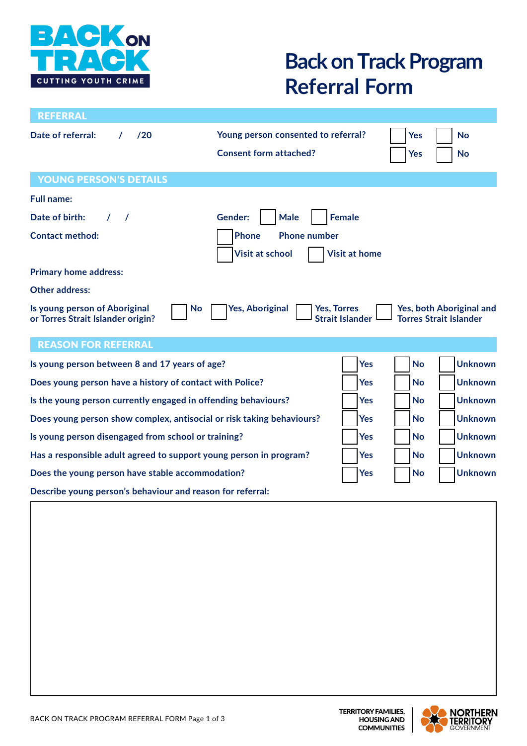

# **Back on Track Program Referral Form**

| <b>REFERRAL</b>                                                                 |                                                                      |                        |                   |                                                           |
|---------------------------------------------------------------------------------|----------------------------------------------------------------------|------------------------|-------------------|-----------------------------------------------------------|
| Date of referral:<br>120                                                        | Young person consented to referral?<br><b>Consent form attached?</b> |                        | <b>Yes</b><br>Yes | <b>No</b><br>No                                           |
| <b>YOUNG PERSON'S DETAILS</b>                                                   |                                                                      |                        |                   |                                                           |
| <b>Full name:</b>                                                               |                                                                      |                        |                   |                                                           |
| Date of birth:<br>$\prime$<br>$\prime$                                          | <b>Gender:</b><br><b>Male</b>                                        | <b>Female</b>          |                   |                                                           |
| <b>Contact method:</b>                                                          | <b>Phone</b><br><b>Phone number</b><br><b>Visit at school</b>        | <b>Visit at home</b>   |                   |                                                           |
| <b>Primary home address:</b>                                                    |                                                                      |                        |                   |                                                           |
| <b>Other address:</b>                                                           |                                                                      |                        |                   |                                                           |
| Is young person of Aboriginal<br><b>No</b><br>or Torres Strait Islander origin? | <b>Yes, Aboriginal</b><br><b>Yes, Torres</b>                         | <b>Strait Islander</b> |                   | Yes, both Aboriginal and<br><b>Torres Strait Islander</b> |
| <b>REASON FOR REFERRAL</b>                                                      |                                                                      |                        |                   |                                                           |
| Is young person between 8 and 17 years of age?                                  |                                                                      | <b>Yes</b>             | <b>No</b>         | <b>Unknown</b>                                            |
| Does young person have a history of contact with Police?                        |                                                                      | <b>Yes</b>             | <b>No</b>         | <b>Unknown</b>                                            |
| Is the young person currently engaged in offending behaviours?                  |                                                                      | <b>Yes</b>             | <b>No</b>         | <b>Unknown</b>                                            |
| Does young person show complex, antisocial or risk taking behaviours?           |                                                                      | <b>Yes</b>             | <b>No</b>         | <b>Unknown</b>                                            |
| Is young person disengaged from school or training?                             |                                                                      | <b>Yes</b>             | <b>No</b>         | <b>Unknown</b>                                            |
| Has a responsible adult agreed to support young person in program?              |                                                                      | <b>Yes</b>             | No                | <b>Unknown</b>                                            |
| Does the young person have stable accommodation?                                |                                                                      | <b>Yes</b>             | <b>No</b>         | <b>Unknown</b>                                            |
| Describe young person's behaviour and reason for referral:                      |                                                                      |                        |                   |                                                           |
|                                                                                 |                                                                      |                        |                   |                                                           |

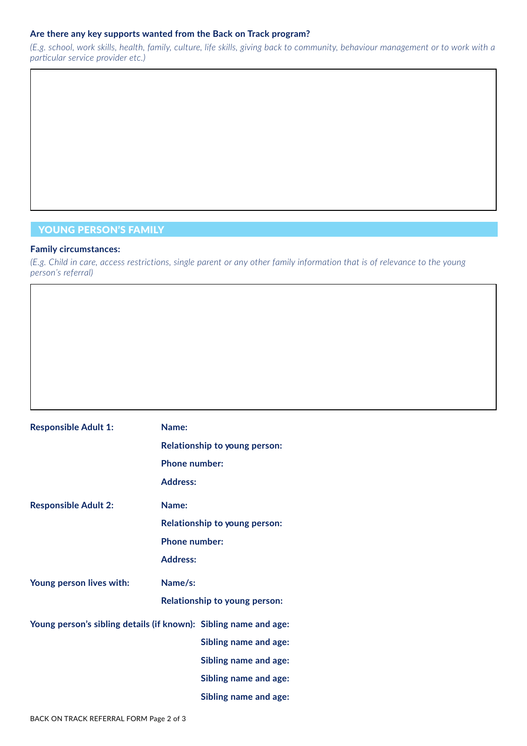#### **Are there any key supports wanted from the Back on Track program?**

*(E.g. school, work skills, health, family, culture, life skills, giving back to community, behaviour management or to work with a particular service provider etc.)*

### YOUNG PERSON'S FAMILY

#### **Family circumstances:**

*(E.g. Child in care, access restrictions, single parent or any other family information that is of relevance to the young person's referral)*

| <b>Responsible Adult 1:</b> | Name:                                                            |
|-----------------------------|------------------------------------------------------------------|
|                             | Relationship to young person:                                    |
|                             | <b>Phone number:</b>                                             |
|                             | <b>Address:</b>                                                  |
| <b>Responsible Adult 2:</b> | Name:                                                            |
|                             | Relationship to young person:                                    |
|                             | <b>Phone number:</b>                                             |
|                             | <b>Address:</b>                                                  |
| Young person lives with:    | Name/s:                                                          |
|                             | Relationship to young person:                                    |
|                             | Young person's sibling details (if known): Sibling name and age: |
|                             | <b>Sibling name and age:</b>                                     |
|                             | Sibling name and age:                                            |
|                             | <b>Sibling name and age:</b>                                     |
|                             | Sibling name and age:                                            |
|                             |                                                                  |